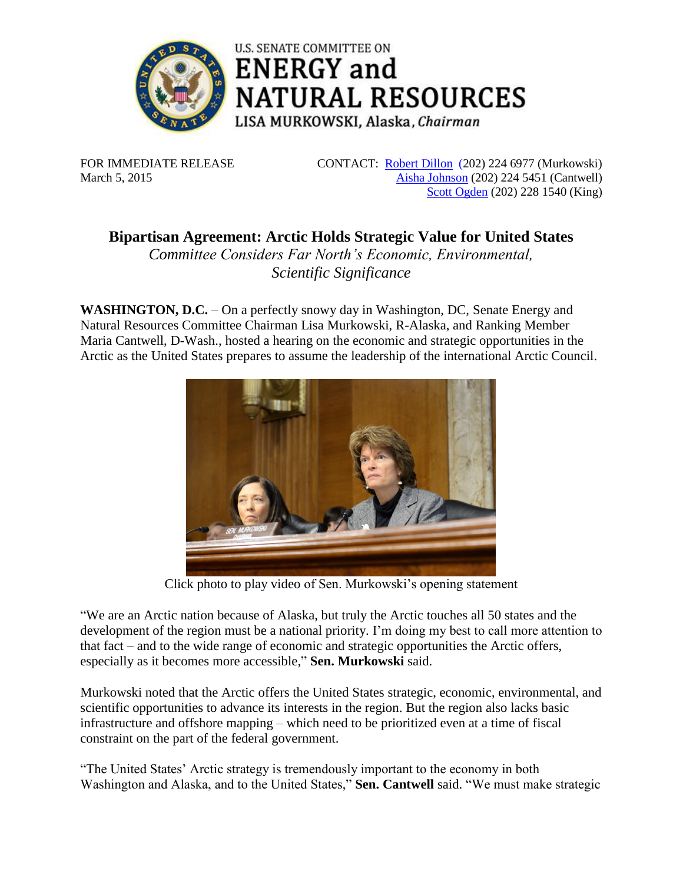

**ENERGY** and **NATURAL RESOURCES** LISA MURKOWSKI, Alaska, Chairman

**U.S. SENATE COMMITTEE ON** 

FOR IMMEDIATE RELEASE March 5, 2015

CONTACT: [Robert Dillon](mailto:Robert_Dillon@energy.senate.gov) (202) 224 6977 (Murkowski) [Aisha Johnson](mailto:aisha_johnson@energy.senate.gov) (202) 224 5451 (Cantwell) Scott [Ogden](mailto:scott_ogden@king.senate.gov) (202) 228 1540 (King)

**Bipartisan Agreement: Arctic Holds Strategic Value for United States** *Committee Considers Far North's Economic, Environmental,* 

*Scientific Significance*

**WASHINGTON, D.C.** – On a perfectly snowy day in Washington, DC, Senate Energy and Natural Resources Committee Chairman Lisa Murkowski, R-Alaska, and Ranking Member Maria Cantwell, D-Wash., hosted a hearing on the economic and strategic opportunities in the Arctic as the United States prepares to assume the leadership of the international Arctic Council.



Click photo to play video of Sen. Murkowski's opening statement

"We are an Arctic nation because of Alaska, but truly the Arctic touches all 50 states and the development of the region must be a national priority. I'm doing my best to call more attention to that fact – and to the wide range of economic and strategic opportunities the Arctic offers, especially as it becomes more accessible," **Sen. Murkowski** said.

Murkowski noted that the Arctic offers the United States strategic, economic, environmental, and scientific opportunities to advance its interests in the region. But the region also lacks basic infrastructure and offshore mapping – which need to be prioritized even at a time of fiscal constraint on the part of the federal government.

"The United States' Arctic strategy is tremendously important to the economy in both Washington and Alaska, and to the United States," **Sen. Cantwell** said. "We must make strategic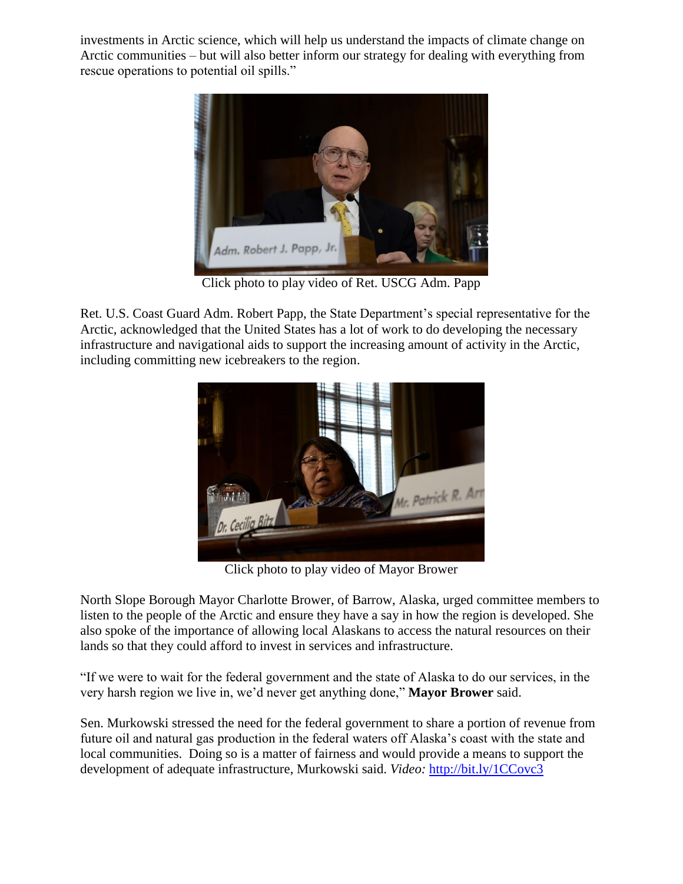investments in Arctic science, which will help us understand the impacts of climate change on Arctic communities – but will also better inform our strategy for dealing with everything from rescue operations to potential oil spills."



Click photo to play video of Ret. USCG Adm. Papp

Ret. U.S. Coast Guard Adm. Robert Papp, the State Department's special representative for the Arctic, acknowledged that the United States has a lot of work to do developing the necessary infrastructure and navigational aids to support the increasing amount of activity in the Arctic, including committing new icebreakers to the region.



Click photo to play video of Mayor Brower

North Slope Borough Mayor Charlotte Brower, of Barrow, Alaska, urged committee members to listen to the people of the Arctic and ensure they have a say in how the region is developed. She also spoke of the importance of allowing local Alaskans to access the natural resources on their lands so that they could afford to invest in services and infrastructure.

"If we were to wait for the federal government and the state of Alaska to do our services, in the very harsh region we live in, we'd never get anything done," **Mayor Brower** said.

Sen. Murkowski stressed the need for the federal government to share a portion of revenue from future oil and natural gas production in the federal waters off Alaska's coast with the state and local communities. Doing so is a matter of fairness and would provide a means to support the development of adequate infrastructure, Murkowski said. *Video:* <http://bit.ly/1CCovc3>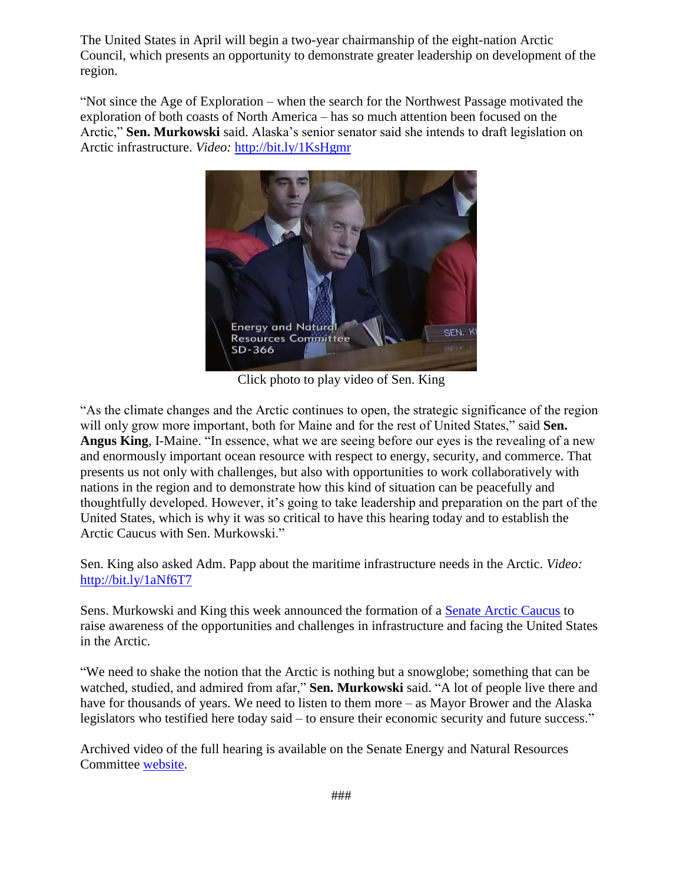The United States in April will begin a two-year chairmanship of the eight-nation Arctic Council, which presents an opportunity to demonstrate greater leadership on development of the region.

"Not since the Age of Exploration – when the search for the Northwest Passage motivated the exploration of both coasts of North America – has so much attention been focused on the Arctic," **Sen. Murkowski** said. Alaska's senior senator said she intends to draft legislation on Arctic infrastructure. *Video:* <http://bit.ly/1KsHgmr>



Click photo to play video of Sen. King

"As the climate changes and the Arctic continues to open, the strategic significance of the region will only grow more important, both for Maine and for the rest of United States," said **Sen. Angus King**, I-Maine. "In essence, what we are seeing before our eyes is the revealing of a new and enormously important ocean resource with respect to energy, security, and commerce. That presents us not only with challenges, but also with opportunities to work collaboratively with nations in the region and to demonstrate how this kind of situation can be peacefully and thoughtfully developed. However, it's going to take leadership and preparation on the part of the United States, which is why it was so critical to have this hearing today and to establish the Arctic Caucus with Sen. Murkowski."

Sen. King also asked Adm. Papp about the maritime infrastructure needs in the Arctic. *Video:* <http://bit.ly/1aNf6T7>

Sens. Murkowski and King this week announced the formation of a [Senate Arctic Caucus](http://www.murkowski.senate.gov/public/index.cfm/pressreleases?ID=1ce5edcb-540d-4c43-b264-56bdbb570755) to raise awareness of the opportunities and challenges in infrastructure and facing the United States in the Arctic.

"We need to shake the notion that the Arctic is nothing but a snowglobe; something that can be watched, studied, and admired from afar," **Sen. Murkowski** said. "A lot of people live there and have for thousands of years. We need to listen to them more – as Mayor Brower and the Alaska legislators who testified here today said – to ensure their economic security and future success."

Archived video of the full hearing is available on the Senate Energy and Natural Resources Committee [website.](http://www.energy.senate.gov/public/index.cfm/2015/3/united-states-arctic-opportunities-hearing)